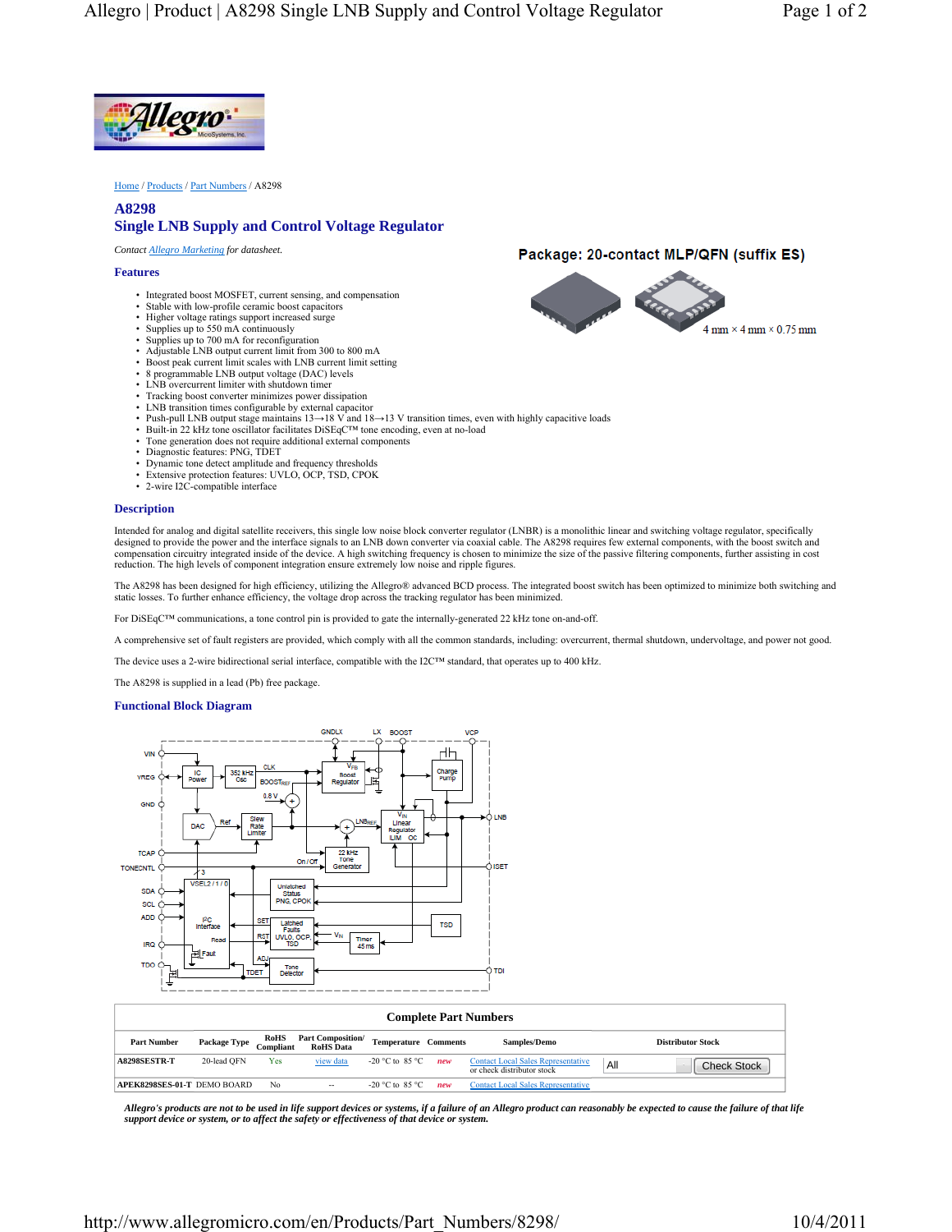

Home / Products / Part Numbers / A8298

## **A8298 Single LNB Supply and Control Voltage Regulator**

*Contact Allegro Marketing for datasheet.*

### **Features**

- Integrated boost MOSFET, current sensing, and compensation
- Stable with low-profile ceramic boost capacitors
- Higher voltage ratings support increased surge
- Supplies up to 550 mA continuously Supplies up to 700 mA for reconfiguration
- Adjustable LNB output current limit from 300 to 800 mA
- Boost peak current limit scales with LNB current limit setting
- 8 programmable LNB output voltage (DAC) levels
- LNB overcurrent limiter with shutdown timer
- Tracking boost converter minimizes power dissipation LNB transition times configurable by external capacitor
- 
- Push-pull LNB output stage maintains 13→18 V and 18→13 V transition times, even with highly capacitive loads
- Built-in 22 kHz tone oscillator facilitates DiSEqC™ tone encoding, even at no-load • Tone generation does not require additional external components
- 
- Diagnostic features: PNG, TDET
- Dynamic tone detect amplitude and frequency thresholds • Extensive protection features: UVLO, OCP, TSD, CPOK
- 2-wire I2C-compatible interface

#### **Description**

Intended for analog and digital satellite receivers, this single low noise block converter regulator (LNBR) is a monolithic linear and switching voltage regulator, specifically designed to provide the power and the interface signals to an LNB down converter via coaxial cable. The A8298 requires few external components, with the boost switch and compensation circuitry integrated inside of the device. A high switching frequency is chosen to minimize the size of the passive filtering components, further assisting in cost reduction. The high levels of component integration ensure extremely low noise and ripple figures.

The A8298 has been designed for high efficiency, utilizing the Allegro® advanced BCD process. The integrated boost switch has been optimized to minimize both switching and static losses. To further enhance efficiency, the voltage drop across the tracking regulator has been minimized.

For DiSEqC™ communications, a tone control pin is provided to gate the internally-generated 22 kHz tone on-and-off.

A comprehensive set of fault registers are provided, which comply with all the common standards, including: overcurrent, thermal shutdown, undervoltage, and power not good.

The device uses a 2-wire bidirectional serial interface, compatible with the I2C™ standard, that operates up to 400 kHz.

The A8298 is supplied in a lead (Pb) free package.

### **Functional Block Diagram**



| <b>Complete Part Numbers</b> |              |                          |                                              |                             |     |                                                                         |     |                          |
|------------------------------|--------------|--------------------------|----------------------------------------------|-----------------------------|-----|-------------------------------------------------------------------------|-----|--------------------------|
| <b>Part Number</b>           | Package Type | <b>RoHS</b><br>Compliant | <b>Part Composition/</b><br><b>RoHS</b> Data | <b>Temperature Comments</b> |     | Samples/Demo                                                            |     | <b>Distributor Stock</b> |
| A8298SESTR-T                 | 20-lead OFN  | Yes                      | view data                                    | -20 °C to 85 °C             | new | <b>Contact Local Sales Representative</b><br>or check distributor stock | All | <b>Check Stock</b>       |
| APEK8298SES-01-T DEMO BOARD  |              | No                       | $-$                                          | -20 °C to 85 °C.            | new | <b>Contact Local Sales Representative</b>                               |     |                          |

*Allegro's products are not to be used in life support devices or systems, if a failure of an Allegro product can reasonably be expected to cause the failure of that life support device or system, or to affect the safety or effectiveness of that device or system.*

# Package: 20-contact MLP/QFN (suffix ES)